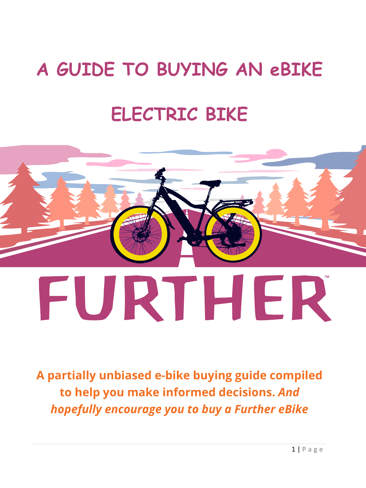# **A GUIDE TO BUYING AN eBIKE**

# **ELECTRIC BIKE**



**A partially unbiased e-bike buying guide compiled to help you make informed decisions.** *And hopefully encourage you to buy a Further eBike*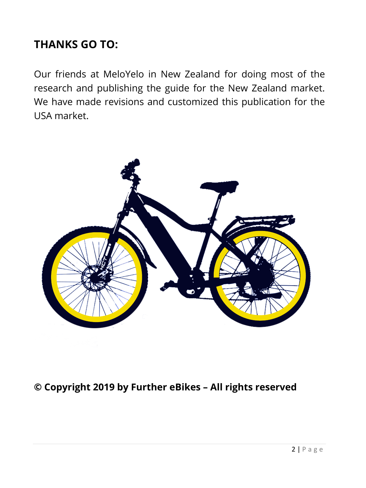### **THANKS GO TO:**

Our friends at MeloYelo in New Zealand for doing most of the research and publishing the guide for the New Zealand market. We have made revisions and customized this publication for the USA market.



#### **© Copyright 2019 by Further eBikes – All rights reserved**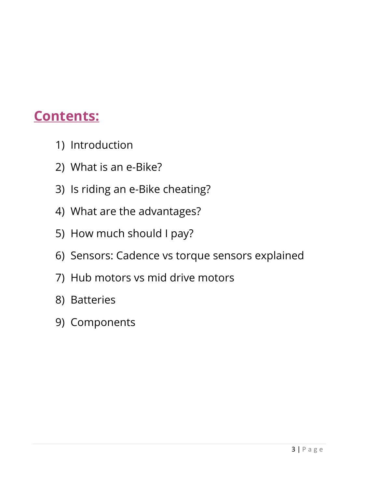# **Contents:**

- 1) Introduction
- 2) What is an e-Bike?
- 3) Is riding an e-Bike cheating?
- 4) What are the advantages?
- 5) How much should I pay?
- 6) Sensors: Cadence vs torque sensors explained
- 7) Hub motors vs mid drive motors
- 8) Batteries
- 9) Components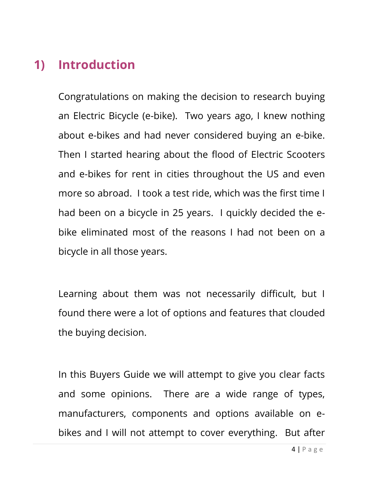## **1) Introduction**

Congratulations on making the decision to research buying an Electric Bicycle (e-bike). Two years ago, I knew nothing about e-bikes and had never considered buying an e-bike. Then I started hearing about the flood of Electric Scooters and e-bikes for rent in cities throughout the US and even more so abroad. I took a test ride, which was the first time I had been on a bicycle in 25 years. I quickly decided the ebike eliminated most of the reasons I had not been on a bicycle in all those years.

Learning about them was not necessarily difficult, but I found there were a lot of options and features that clouded the buying decision.

In this Buyers Guide we will attempt to give you clear facts and some opinions. There are a wide range of types, manufacturers, components and options available on ebikes and I will not attempt to cover everything. But after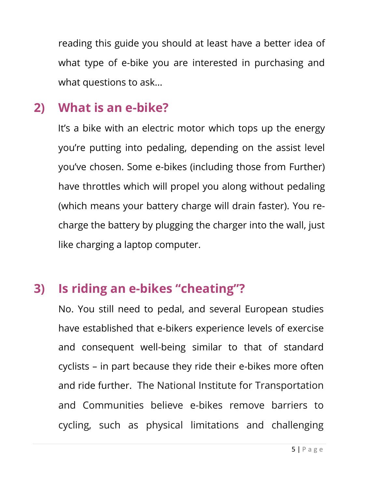reading this guide you should at least have a better idea of what type of e-bike you are interested in purchasing and what questions to ask...

## **2) What is an e-bike?**

It's a bike with an electric motor which tops up the energy you're putting into pedaling, depending on the assist level you've chosen. Some e-bikes (including those from Further) have throttles which will propel you along without pedaling (which means your battery charge will drain faster). You recharge the battery by plugging the charger into the wall, just like charging a laptop computer.

# **3) Is riding an e-bikes "cheating"?**

No. You still need to pedal, and several European studies have established that e-bikers experience levels of exercise and consequent well-being similar to that of standard cyclists – in part because they ride their e-bikes more often and ride further. The National Institute for Transportation and Communities believe e-bikes remove barriers to cycling, such as physical limitations and challenging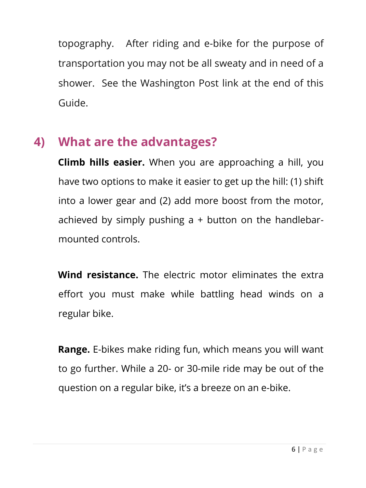topography. After riding and e-bike for the purpose of transportation you may not be all sweaty and in need of a shower. See the Washington Post link at the end of this Guide.

# **4) What are the advantages?**

**Climb hills easier.** When you are approaching a hill, you have two options to make it easier to get up the hill: (1) shift into a lower gear and (2) add more boost from the motor, achieved by simply pushing  $a + b$ utton on the handlebarmounted controls.

**Wind resistance.** The electric motor eliminates the extra effort you must make while battling head winds on a regular bike.

**Range.** E-bikes make riding fun, which means you will want to go further. While a 20- or 30-mile ride may be out of the question on a regular bike, it's a breeze on an e-bike.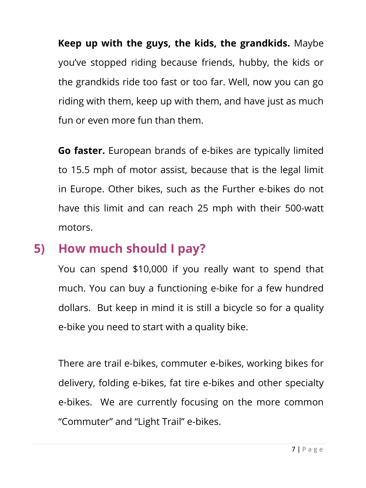**Keep up with the guys, the kids, the grandkids.** Maybe you've stopped riding because friends, hubby, the kids or the grandkids ride too fast or too far. Well, now you can go riding with them, keep up with them, and have just as much fun or even more fun than them.

**Go faster.** European brands of e-bikes are typically limited to 15.5 mph of motor assist, because that is the legal limit in Europe. Other bikes, such as the Further e-bikes do not have this limit and can reach 25 mph with their 500-watt motors.

### **5) How much should I pay?**

You can spend \$10,000 if you really want to spend that much. You can buy a functioning e-bike for a few hundred dollars. But keep in mind it is still a bicycle so for a quality e-bike you need to start with a quality bike.

There are trail e-bikes, commuter e-bikes, working bikes for delivery, folding e-bikes, fat tire e-bikes and other specialty e-bikes. We are currently focusing on the more common "Commuter" and "Light Trail" e-bikes.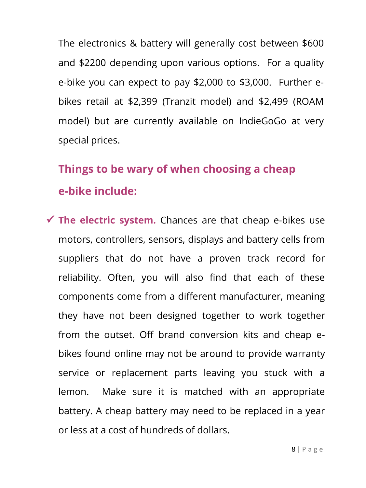The electronics & battery will generally cost between \$600 and \$2200 depending upon various options. For a quality e-bike you can expect to pay \$2,000 to \$3,000. Further ebikes retail at \$2,399 (Tranzit model) and \$2,499 (ROAM model) but are currently available on IndieGoGo at very special prices.

# **Things to be wary of when choosing a cheap e-bike include:**

 **The electric system.** Chances are that cheap e-bikes use motors, controllers, sensors, displays and battery cells from suppliers that do not have a proven track record for reliability. Often, you will also find that each of these components come from a different manufacturer, meaning they have not been designed together to work together from the outset. Off brand conversion kits and cheap ebikes found online may not be around to provide warranty service or replacement parts leaving you stuck with a lemon. Make sure it is matched with an appropriate battery. A cheap battery may need to be replaced in a year or less at a cost of hundreds of dollars.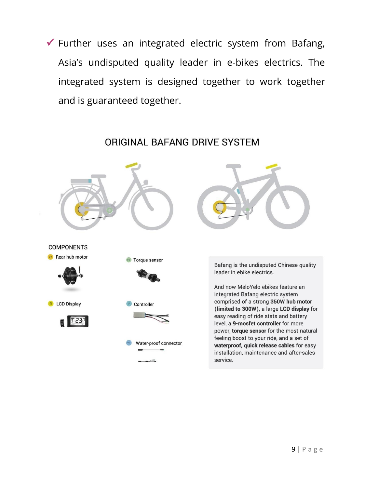$\checkmark$  Further uses an integrated electric system from Bafang, Asia's undisputed quality leader in e-bikes electrics. The integrated system is designed together to work together and is guaranteed together.

**COMPONENTS** Rear hub motor Torque sensor **B** LCD Display Controller Water-proof connector

ORIGINAL BAFANG DRIVE SYSTEM



Bafang is the undisputed Chinese quality leader in ebike electrics.

And now MeloYelo ebikes feature an integrated Bafang electric system comprised of a strong 350W hub motor (limited to 300W), a large LCD display for easy reading of ride stats and battery level, a 9-mosfet controller for more power, torque sensor for the most natural feeling boost to your ride, and a set of waterproof, quick release cables for easy installation, maintenance and after-sales service.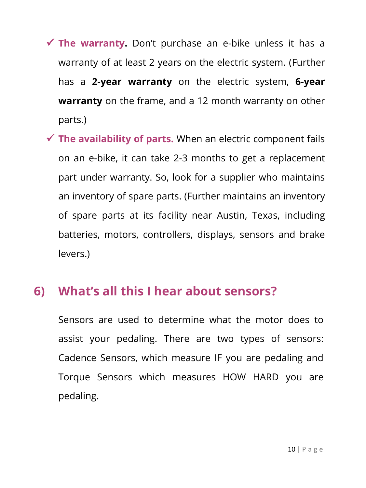- **The warranty.** Don't purchase an e-bike unless it has a warranty of at least 2 years on the electric system. (Further has a **2-year warranty** on the electric system, **6-year warranty** on the frame, and a 12 month warranty on other parts.)
- **The availability of parts.** When an electric component fails on an e-bike, it can take 2-3 months to get a replacement part under warranty. So, look for a supplier who maintains an inventory of spare parts. (Further maintains an inventory of spare parts at its facility near Austin, Texas, including batteries, motors, controllers, displays, sensors and brake levers.)

## **6) What's all this I hear about sensors?**

Sensors are used to determine what the motor does to assist your pedaling. There are two types of sensors: Cadence Sensors, which measure IF you are pedaling and Torque Sensors which measures HOW HARD you are pedaling.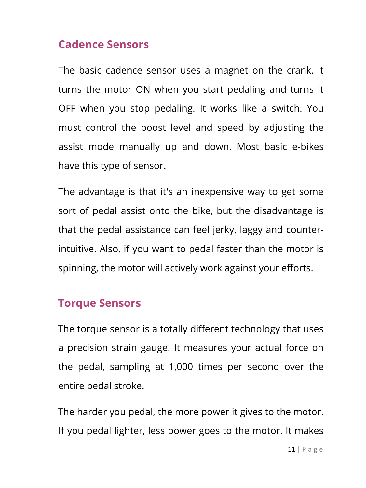#### **Cadence Sensors**

The basic cadence sensor uses a magnet on the crank, it turns the motor ON when you start pedaling and turns it OFF when you stop pedaling. It works like a switch. You must control the boost level and speed by adjusting the assist mode manually up and down. Most basic e-bikes have this type of sensor.

The advantage is that it's an inexpensive way to get some sort of pedal assist onto the bike, but the disadvantage is that the pedal assistance can feel jerky, laggy and counterintuitive. Also, if you want to pedal faster than the motor is spinning, the motor will actively work against your efforts.

#### **Torque Sensors**

The torque sensor is a totally different technology that uses a precision strain gauge. It measures your actual force on the pedal, sampling at 1,000 times per second over the entire pedal stroke.

The harder you pedal, the more power it gives to the motor. If you pedal lighter, less power goes to the motor. It makes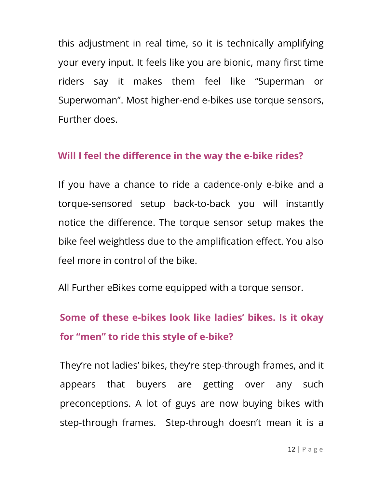this adjustment in real time, so it is technically amplifying your every input. It feels like you are bionic, many first time riders say it makes them feel like "Superman or Superwoman". Most higher-end e-bikes use torque sensors, Further does.

#### **Will I feel the difference in the way the e-bike rides?**

If you have a chance to ride a cadence-only e-bike and a torque-sensored setup back-to-back you will instantly notice the difference. The torque sensor setup makes the bike feel weightless due to the amplification effect. You also feel more in control of the bike.

All Further eBikes come equipped with a torque sensor.

# **Some of these e-bikes look like ladies' bikes. Is it okay for "men" to ride this style of e-bike?**

They're not ladies' bikes, they're step-through frames, and it appears that buyers are getting over any such preconceptions. A lot of guys are now buying bikes with step-through frames. Step-through doesn't mean it is a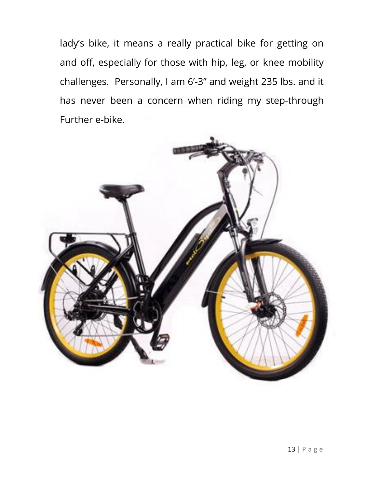lady's bike, it means a really practical bike for getting on and off, especially for those with hip, leg, or knee mobility challenges. Personally, I am 6'-3" and weight 235 lbs. and it has never been a concern when riding my step-through Further e-bike.

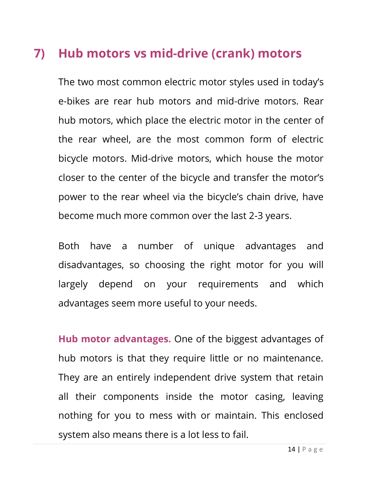# **7) Hub motors vs mid-drive (crank) motors**

The two most common electric motor styles used in today's e-bikes are rear hub motors and mid-drive motors. Rear hub motors, which place the electric motor in the center of the rear wheel, are the most common form of electric bicycle motors. Mid-drive motors, which house the motor closer to the center of the bicycle and transfer the motor's power to the rear wheel via the bicycle's chain drive, have become much more common over the last 2-3 years.

Both have a number of unique advantages and disadvantages, so choosing the right motor for you will largely depend on your requirements and which advantages seem more useful to your needs.

**Hub motor advantages.** One of the biggest advantages of hub motors is that they require little or no maintenance. They are an entirely independent drive system that retain all their components inside the motor casing, leaving nothing for you to mess with or maintain. This enclosed system also means there is a lot less to fail.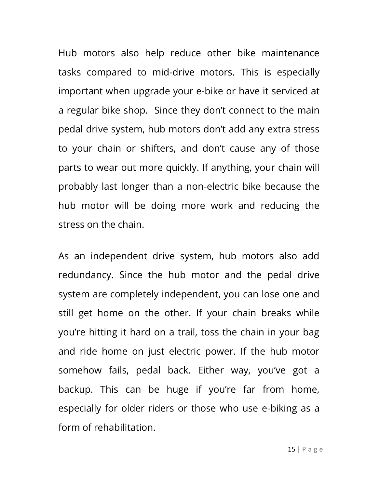Hub motors also help reduce other bike maintenance tasks compared to mid-drive motors. This is especially important when upgrade your e-bike or have it serviced at a regular bike shop. Since they don't connect to the main pedal drive system, hub motors don't add any extra stress to your chain or shifters, and don't cause any of those parts to wear out more quickly. If anything, your chain will probably last longer than a non-electric bike because the hub motor will be doing more work and reducing the stress on the chain.

As an independent drive system, hub motors also add redundancy. Since the hub motor and the pedal drive system are completely independent, you can lose one and still get home on the other. If your chain breaks while you're hitting it hard on a trail, toss the chain in your bag and ride home on just electric power. If the hub motor somehow fails, pedal back. Either way, you've got a backup. This can be huge if you're far from home, especially for older riders or those who use e-biking as a form of rehabilitation.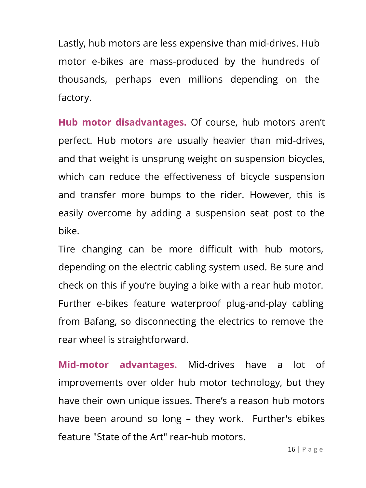Lastly, hub motors are less expensive than mid-drives. Hub motor e-bikes are mass-produced by the hundreds of thousands, perhaps even millions depending on the factory.

**Hub motor disadvantages.** Of course, hub motors aren't perfect. Hub motors are usually heavier than mid-drives, and that weight is unsprung weight on suspension bicycles, which can reduce the effectiveness of bicycle suspension and transfer more bumps to the rider. However, this is easily overcome by adding a suspension seat post to the bike.

Tire changing can be more difficult with hub motors, depending on the electric cabling system used. Be sure and check on this if you're buying a bike with a rear hub motor. Further e-bikes feature waterproof plug-and-play cabling from Bafang, so disconnecting the electrics to remove the rear wheel is straightforward.

**Mid-motor advantages.** Mid-drives have a lot of improvements over older hub motor technology, but they have their own unique issues. There's a reason hub motors have been around so long – they work. Further's ebikes feature "State of the Art" rear-hub motors.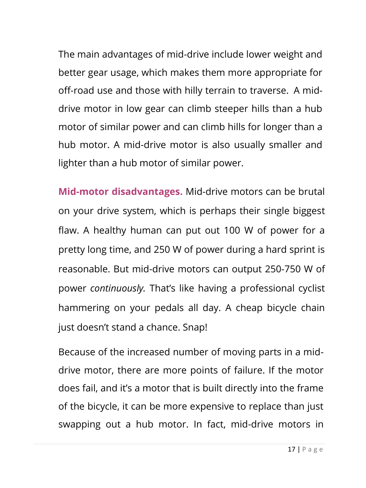The main advantages of mid-drive include lower weight and better gear usage, which makes them more appropriate for off-road use and those with hilly terrain to traverse. A middrive motor in low gear can climb steeper hills than a hub motor of similar power and can climb hills for longer than a hub motor. A mid-drive motor is also usually smaller and lighter than a hub motor of similar power.

**Mid-motor disadvantages.** Mid-drive motors can be brutal on your drive system, which is perhaps their single biggest flaw. A healthy human can put out 100 W of power for a pretty long time, and 250 W of power during a hard sprint is reasonable. But mid-drive motors can output 250-750 W of power *continuously.* That's like having a professional cyclist hammering on your pedals all day. A cheap bicycle chain just doesn't stand a chance. Snap!

Because of the increased number of moving parts in a middrive motor, there are more points of failure. If the motor does fail, and it's a motor that is built directly into the frame of the bicycle, it can be more expensive to replace than just swapping out a hub motor. In fact, mid-drive motors in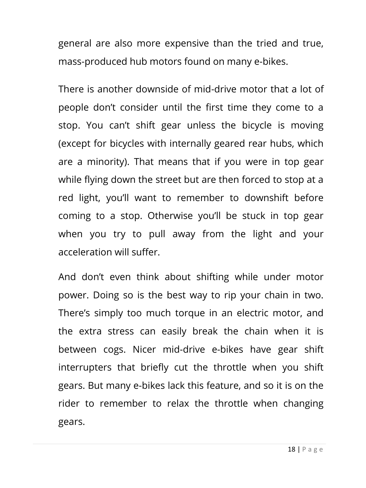general are also more expensive than the tried and true, mass-produced hub motors found on many e-bikes.

There is another downside of mid-drive motor that a lot of people don't consider until the first time they come to a stop. You can't shift gear unless the bicycle is moving (except for bicycles with internally geared rear hubs, which are a minority). That means that if you were in top gear while flying down the street but are then forced to stop at a red light, you'll want to remember to downshift before coming to a stop. Otherwise you'll be stuck in top gear when you try to pull away from the light and your acceleration will suffer.

And don't even think about shifting while under motor power. Doing so is the best way to rip your chain in two. There's simply too much torque in an electric motor, and the extra stress can easily break the chain when it is between cogs. Nicer mid-drive e-bikes have gear shift interrupters that briefly cut the throttle when you shift gears. But many e-bikes lack this feature, and so it is on the rider to remember to relax the throttle when changing gears.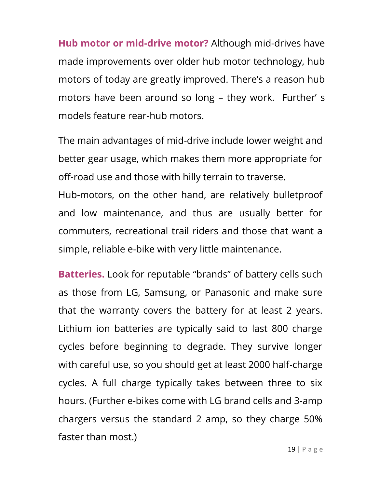**Hub motor or mid-drive motor?** Although mid-drives have made improvements over older hub motor technology, hub motors of today are greatly improved. There's a reason hub motors have been around so long – they work. Further' s models feature rear-hub motors.

The main advantages of mid-drive include lower weight and better gear usage, which makes them more appropriate for off-road use and those with hilly terrain to traverse.

Hub-motors, on the other hand, are relatively bulletproof and low maintenance, and thus are usually better for commuters, recreational trail riders and those that want a simple, reliable e-bike with very little maintenance.

**Batteries.** Look for reputable "brands" of battery cells such as those from LG, Samsung, or Panasonic and make sure that the warranty covers the battery for at least 2 years. Lithium ion batteries are typically said to last 800 charge cycles before beginning to degrade. They survive longer with careful use, so you should get at least 2000 half-charge cycles. A full charge typically takes between three to six hours. (Further e-bikes come with LG brand cells and 3-amp chargers versus the standard 2 amp, so they charge 50% faster than most.)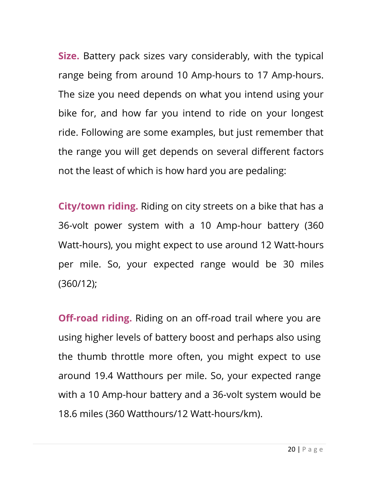**Size.** Battery pack sizes vary considerably, with the typical range being from around 10 Amp-hours to 17 Amp-hours. The size you need depends on what you intend using your bike for, and how far you intend to ride on your longest ride. Following are some examples, but just remember that the range you will get depends on several different factors not the least of which is how hard you are pedaling:

**City/town riding.** Riding on city streets on a bike that has a 36-volt power system with a 10 Amp-hour battery (360 Watt-hours), you might expect to use around 12 Watt-hours per mile. So, your expected range would be 30 miles (360/12);

**Off-road riding.** Riding on an off-road trail where you are using higher levels of battery boost and perhaps also using the thumb throttle more often, you might expect to use around 19.4 Watthours per mile. So, your expected range with a 10 Amp-hour battery and a 36-volt system would be 18.6 miles (360 Watthours/12 Watt-hours/km).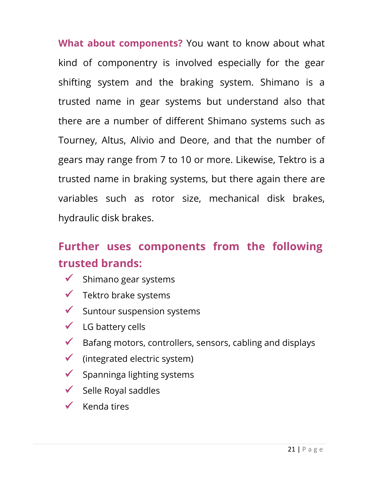**What about components?** You want to know about what kind of componentry is involved especially for the gear shifting system and the braking system. Shimano is a trusted name in gear systems but understand also that there are a number of different Shimano systems such as Tourney, Altus, Alivio and Deore, and that the number of gears may range from 7 to 10 or more. Likewise, Tektro is a trusted name in braking systems, but there again there are variables such as rotor size, mechanical disk brakes, hydraulic disk brakes.

# **Further uses components from the following trusted brands:**

- $\checkmark$  Shimano gear systems
- $\checkmark$  Tektro brake systems
- $\checkmark$  Suntour suspension systems
- $\checkmark$  LG battery cells
- $\checkmark$  Bafang motors, controllers, sensors, cabling and displays
- $\checkmark$  (integrated electric system)
- $\checkmark$  Spanninga lighting systems
- $\checkmark$  Selle Royal saddles
- $\checkmark$  Kenda tires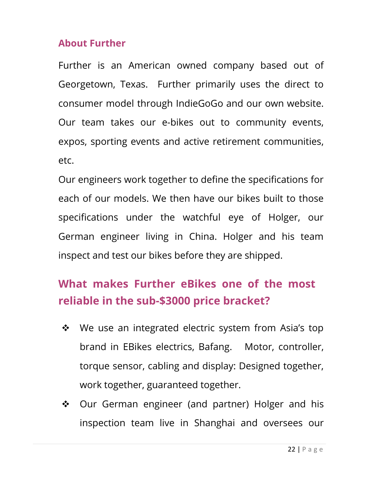#### **About Further**

Further is an American owned company based out of Georgetown, Texas. Further primarily uses the direct to consumer model through IndieGoGo and our own website. Our team takes our e-bikes out to community events, expos, sporting events and active retirement communities, etc.

Our engineers work together to define the specifications for each of our models. We then have our bikes built to those specifications under the watchful eye of Holger, our German engineer living in China. Holger and his team inspect and test our bikes before they are shipped.

# **What makes Further eBikes one of the most reliable in the sub-\$3000 price bracket?**

- ❖ We use an integrated electric system from Asia's top brand in EBikes electrics, Bafang. Motor, controller, torque sensor, cabling and display: Designed together, work together, guaranteed together.
- ❖ Our German engineer (and partner) Holger and his inspection team live in Shanghai and oversees our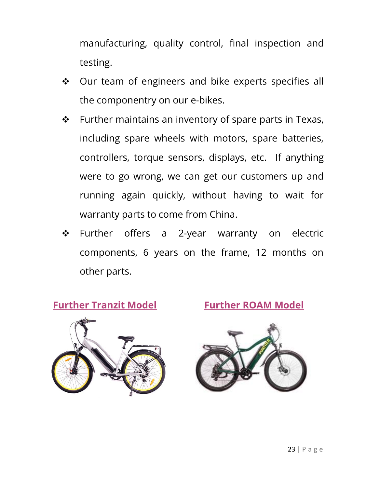manufacturing, quality control, final inspection and testing.

- $\div$  Our team of engineers and bike experts specifies all the componentry on our e-bikes.
- $\cdot \cdot$  Further maintains an inventory of spare parts in Texas, including spare wheels with motors, spare batteries, controllers, torque sensors, displays, etc. If anything were to go wrong, we can get our customers up and running again quickly, without having to wait for warranty parts to come from China.
- \* Further offers a 2-year warranty on electric components, 6 years on the frame, 12 months on other parts.

**Further Tranzit Model Further ROAM Model**